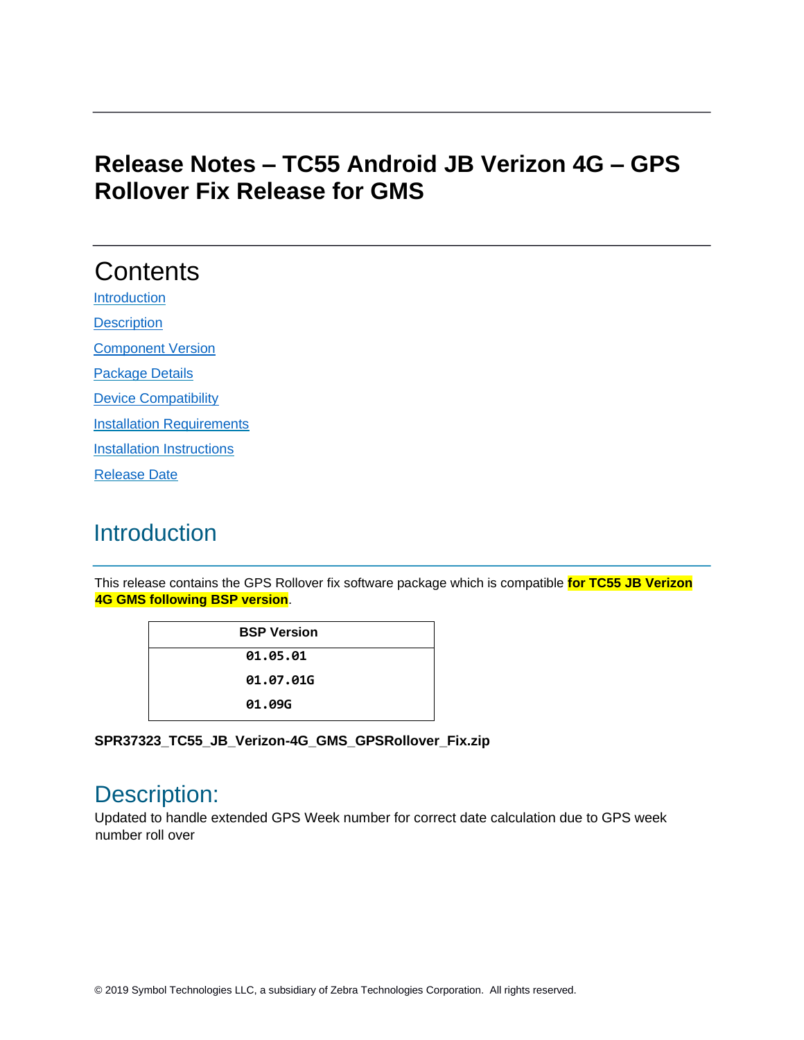## **Release Notes – TC55 Android JB Verizon 4G – GPS Rollover Fix Release for GMS**

# **Contents**

[Introduction](#page-0-0) **[Description](#page-0-1)** 

[Component Version](#page-1-0)

Package Details

[Device Compatibility](#page-1-1) 

**[Installation Requirements](#page-1-2)** 

[Installation Instructions](#page-1-3)

[Release Date](#page-2-0)

## <span id="page-0-0"></span>**Introduction**

This release contains the GPS Rollover fix software package which is compatible **for TC55 JB Verizon 4G GMS following BSP version**.

| <b>BSP Version</b> |
|--------------------|
| 01.05.01           |
| 01.07.01G          |
| 01.09G             |

**SPR37323\_TC55\_JB\_Verizon-4G\_GMS\_GPSRollover\_Fix.zip**

## <span id="page-0-1"></span>Description:

Updated to handle extended GPS Week number for correct date calculation due to GPS week number roll over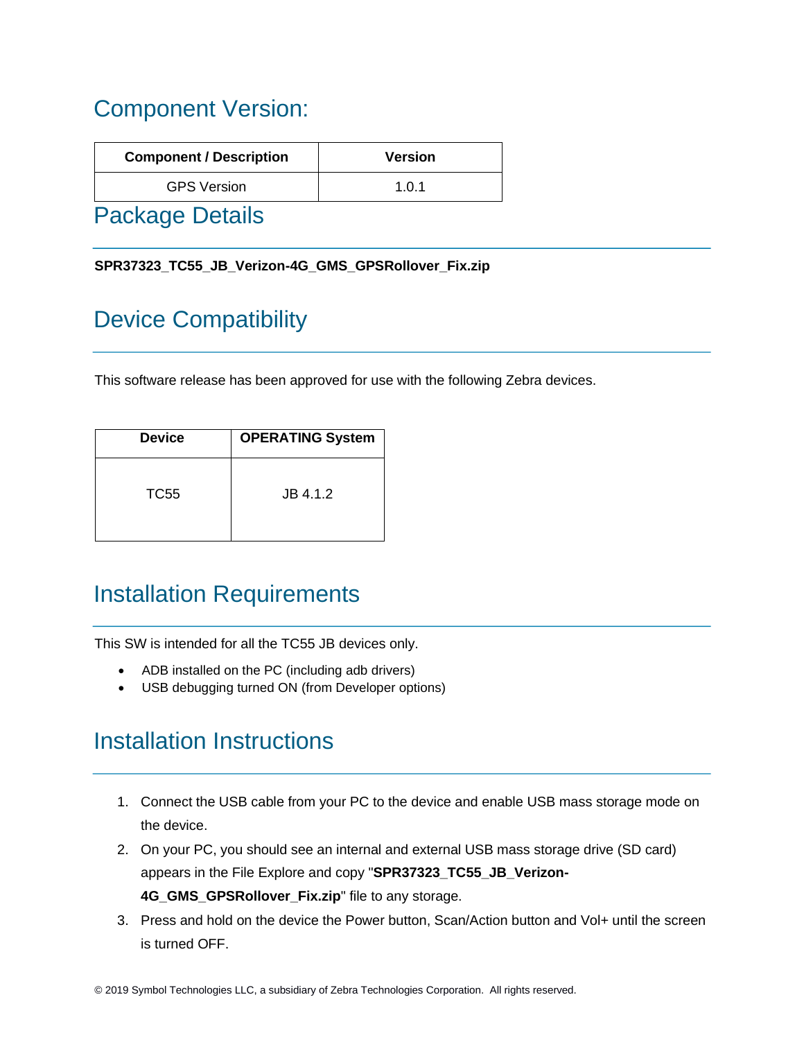## <span id="page-1-0"></span>Component Version:

| <b>Component / Description</b> | <b>Version</b> |
|--------------------------------|----------------|
| <b>GPS Version</b>             | 1.0.1          |
|                                |                |

Package Details

**SPR37323\_TC55\_JB\_Verizon-4G\_GMS\_GPSRollover\_Fix.zip**

# <span id="page-1-1"></span>Device Compatibility

This software release has been approved for use with the following Zebra devices.

| <b>Device</b> | <b>OPERATING System</b> |
|---------------|-------------------------|
| TC55          | JB 4.1.2                |

## <span id="page-1-2"></span>Installation Requirements

This SW is intended for all the TC55 JB devices only.

- ADB installed on the PC (including adb drivers)
- USB debugging turned ON (from Developer options)

## <span id="page-1-3"></span>Installation Instructions

- 1. Connect the USB cable from your PC to the device and enable USB mass storage mode on the device.
- 2. On your PC, you should see an internal and external USB mass storage drive (SD card) appears in the File Explore and copy "**SPR37323\_TC55\_JB\_Verizon-4G\_GMS\_GPSRollover\_Fix.zip**" file to any storage.
- 3. Press and hold on the device the Power button, Scan/Action button and Vol+ until the screen is turned OFF.